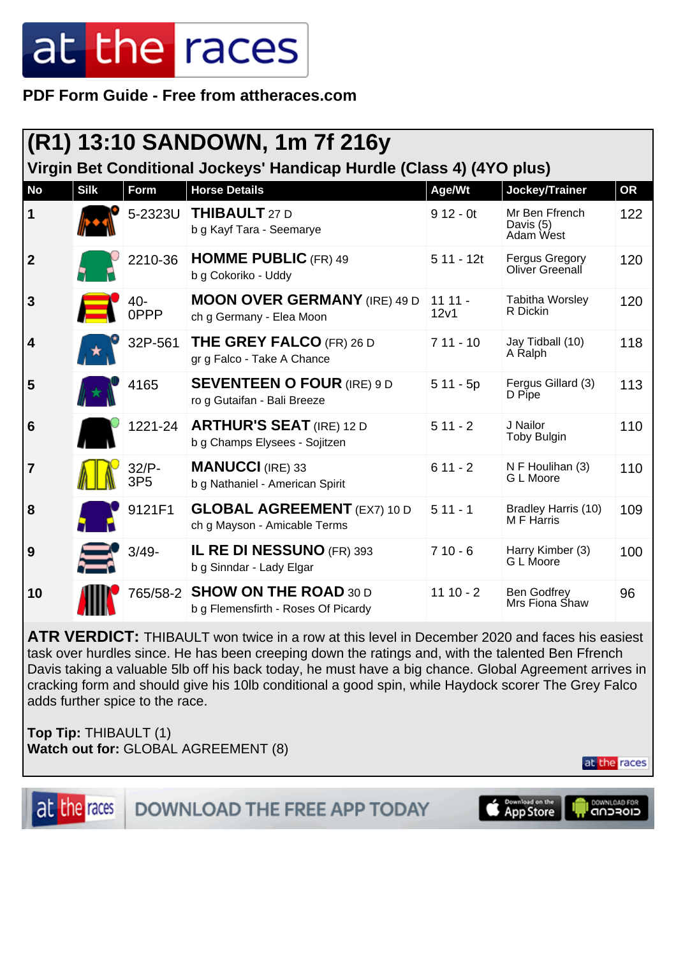## at the races

**PDF Form Guide - Free from attheraces.com**

| (R1) 13:10 SANDOWN, 1m 7f 216y |             |                             |                                                                      |                               |                                          |     |  |
|--------------------------------|-------------|-----------------------------|----------------------------------------------------------------------|-------------------------------|------------------------------------------|-----|--|
|                                |             |                             | Virgin Bet Conditional Jockeys' Handicap Hurdle (Class 4) (4YO plus) |                               |                                          |     |  |
| <b>No</b>                      | <b>Silk</b> | <b>Form</b>                 | <b>Horse Details</b>                                                 | Age/Wt                        | Jockey/Trainer                           | OR  |  |
| $\mathbf 1$                    |             | 5-2323U                     | <b>THIBAULT</b> 27 D<br>b g Kayf Tara - Seemarye                     | $912 - 0t$                    | Mr Ben Ffrench<br>Davis (5)<br>Adam West | 122 |  |
| $\boldsymbol{2}$               |             | 2210-36                     | <b>HOMME PUBLIC (FR) 49</b><br>b g Cokoriko - Uddy                   | $511 - 12t$                   | <b>Fergus Gregory</b><br>Oliver Greenall | 120 |  |
| 3                              |             | 40-<br>0PPP                 | <b>MOON OVER GERMANY (IRE) 49 D</b><br>ch g Germany - Elea Moon      | $1111 -$<br>12 <sub>V</sub> 1 | Tabitha Worsley<br>R Dickin              | 120 |  |
| 4                              |             | 32P-561                     | <b>THE GREY FALCO</b> (FR) 26 D<br>gr g Falco - Take A Chance        | $711 - 10$                    | Jay Tidball (10)<br>A Ralph              | 118 |  |
| 5                              |             | 4165                        | <b>SEVENTEEN O FOUR (IRE) 9 D</b><br>ro g Gutaifan - Bali Breeze     | $511 - 5p$                    | Fergus Gillard (3)<br>D Pipe             | 113 |  |
| 6                              |             | 1221-24                     | <b>ARTHUR'S SEAT (IRE) 12 D</b><br>b g Champs Elysees - Sojitzen     | $511 - 2$                     | J Nailor<br><b>Toby Bulgin</b>           | 110 |  |
| $\overline{7}$                 |             | $32/P$ -<br>3P <sub>5</sub> | <b>MANUCCI (IRE) 33</b><br>b g Nathaniel - American Spirit           | $611 - 2$                     | N F Houlihan (3)<br><b>G L Moore</b>     | 110 |  |
| 8                              |             | 9121F1                      | <b>GLOBAL AGREEMENT</b> (EX7) 10 D<br>ch g Mayson - Amicable Terms   | $511 - 1$                     | Bradley Harris (10)<br>M F Harris        | 109 |  |
| 9                              |             | $3/49 -$                    | <b>IL RE DI NESSUNO (FR) 393</b><br>b g Sinndar - Lady Elgar         | $710 - 6$                     | Harry Kimber (3)<br>G L Moore            | 100 |  |
| 10                             |             | 765/58-2                    | <b>SHOW ON THE ROAD 30 D</b><br>b g Flemensfirth - Roses Of Picardy  | $1110 - 2$                    | <b>Ben Godfrey</b><br>Mrs Fiona Shaw     | 96  |  |

**ATR VERDICT:** THIBAULT won twice in a row at this level in December 2020 and faces his easiest task over hurdles since. He has been creeping down the ratings and, with the talented Ben Ffrench Davis taking a valuable 5lb off his back today, he must have a big chance. Global Agreement arrives in cracking form and should give his 10lb conditional a good spin, while Haydock scorer The Grey Falco adds further spice to the race.

**Top Tip:** THIBAULT (1) **Watch out for:** GLOBAL AGREEMENT (8)

at the races

at the races

DOWNLOAD THE FREE APP TODAY

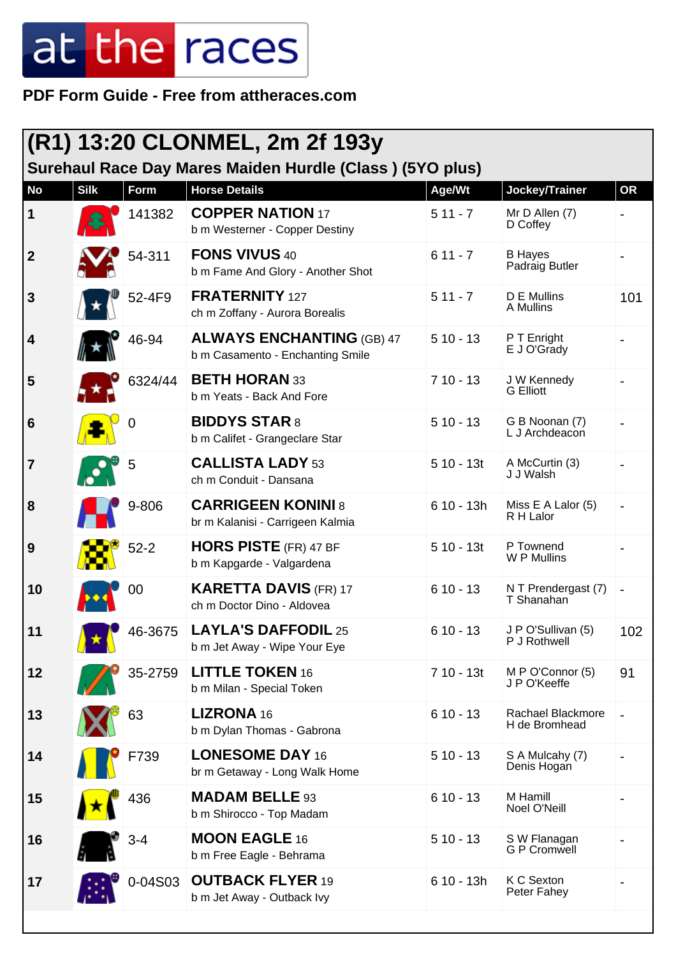## at the races

**PDF Form Guide - Free from attheraces.com**

| (R1) 13:20 CLONMEL, 2m 2f 193y<br>Surehaul Race Day Mares Maiden Hurdle (Class) (5YO plus) |             |          |                                                                      |             |                                     |           |  |
|--------------------------------------------------------------------------------------------|-------------|----------|----------------------------------------------------------------------|-------------|-------------------------------------|-----------|--|
| <b>No</b>                                                                                  | <b>Silk</b> | Form     | <b>Horse Details</b>                                                 | Age/Wt      | Jockey/Trainer                      | <b>OR</b> |  |
| $\mathbf 1$                                                                                |             | 141382   | <b>COPPER NATION 17</b><br>b m Westerner - Copper Destiny            | $511 - 7$   | Mr D Allen (7)<br>D Coffey          |           |  |
| $\overline{2}$                                                                             |             | 54-311   | <b>FONS VIVUS 40</b><br>b m Fame And Glory - Another Shot            | $611 - 7$   | <b>B</b> Hayes<br>Padraig Butler    |           |  |
| 3                                                                                          |             | 52-4F9   | <b>FRATERNITY</b> 127<br>ch m Zoffany - Aurora Borealis              | $511 - 7$   | D E Mullins<br>A Mullins            | 101       |  |
| $\boldsymbol{4}$                                                                           |             | 46-94    | <b>ALWAYS ENCHANTING (GB) 47</b><br>b m Casamento - Enchanting Smile | $510 - 13$  | P T Enright<br>E J O'Grady          |           |  |
| 5                                                                                          |             | 6324/44  | <b>BETH HORAN 33</b><br>b m Yeats - Back And Fore                    | $710 - 13$  | J W Kennedy<br><b>G</b> Elliott     |           |  |
| $6\phantom{1}6$                                                                            |             | 0        | <b>BIDDYS STAR 8</b><br>b m Califet - Grangeclare Star               | $510 - 13$  | G B Noonan (7)<br>L J Archdeacon    |           |  |
| 7                                                                                          |             | 5        | <b>CALLISTA LADY 53</b><br>ch m Conduit - Dansana                    | $510 - 13t$ | A McCurtin (3)<br>J J Walsh         |           |  |
| 8                                                                                          |             | 9-806    | <b>CARRIGEEN KONINI 8</b><br>br m Kalanisi - Carrigeen Kalmia        | 6 10 - 13h  | Miss E A Lalor (5)<br>R H Lalor     |           |  |
| 9                                                                                          |             | $52 - 2$ | <b>HORS PISTE (FR) 47 BF</b><br>b m Kapgarde - Valgardena            | $510 - 13t$ | P Townend<br>W P Mullins            |           |  |
| 10                                                                                         |             | 00       | <b>KARETTA DAVIS (FR) 17</b><br>ch m Doctor Dino - Aldovea           | $610 - 13$  | N T Prendergast (7)<br>T Shanahan   |           |  |
| 11                                                                                         |             | 46-3675  | <b>LAYLA'S DAFFODIL 25</b><br>b m Jet Away - Wipe Your Eye           | $610 - 13$  | J P O'Sullivan (5)<br>P J Rothwell  | 102       |  |
| 12                                                                                         |             | 35-2759  | <b>LITTLE TOKEN 16</b><br>b m Milan - Special Token                  | $710 - 13t$ | M P O'Connor (5)<br>J P O'Keeffe    | 91        |  |
| 13                                                                                         |             | 63       | LIZRONA 16<br>b m Dylan Thomas - Gabrona                             | $610 - 13$  | Rachael Blackmore<br>H de Bromhead  |           |  |
| 14                                                                                         |             | F739     | <b>LONESOME DAY 16</b><br>br m Getaway - Long Walk Home              | $510 - 13$  | S A Mulcahy (7)<br>Denis Hogan      |           |  |
| 15                                                                                         |             | 436      | <b>MADAM BELLE 93</b><br>b m Shirocco - Top Madam                    | $610 - 13$  | M Hamill<br>Noel O'Neill            |           |  |
| 16                                                                                         |             | $3 - 4$  | <b>MOON EAGLE 16</b><br>b m Free Eagle - Behrama                     | $510 - 13$  | S W Flanagan<br><b>G P Cromwell</b> |           |  |
| 17                                                                                         |             | 0-04S03  | <b>OUTBACK FLYER 19</b><br>b m Jet Away - Outback Ivy                | $610 - 13h$ | K C Sexton<br>Peter Fahey           |           |  |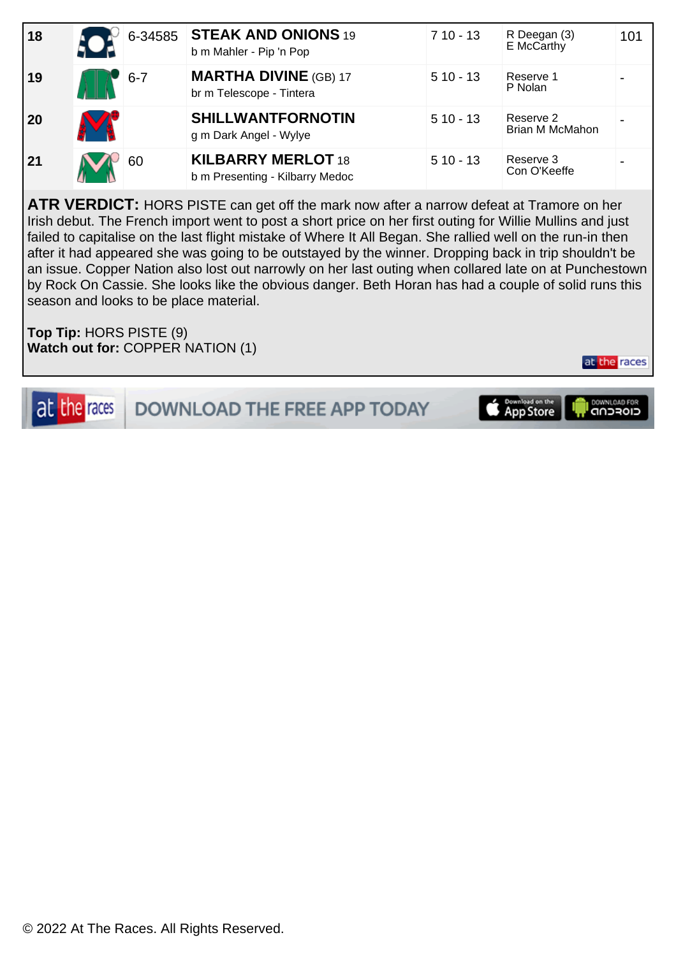| 18        |         | 6-34585 STEAK AND ONIONS 19<br>b m Mahler - Pip 'n Pop       | $710 - 13$ | R Deegan (3)<br>E McCarthy          | 101 |
|-----------|---------|--------------------------------------------------------------|------------|-------------------------------------|-----|
| 19        | $6 - 7$ | <b>MARTHA DIVINE (GB) 17</b><br>br m Telescope - Tintera     | $510 - 13$ | Reserve 1<br>P Nolan                |     |
| <b>20</b> |         | <b>SHILLWANTFORNOTIN</b><br>g m Dark Angel - Wylye           | $510 - 13$ | Reserve 2<br><b>Brian M McMahon</b> |     |
| 21        | 60      | <b>KILBARRY MERLOT 18</b><br>b m Presenting - Kilbarry Medoc | $510 - 13$ | Reserve 3<br>Con O'Keeffe           |     |

**ATR VERDICT:** HORS PISTE can get off the mark now after a narrow defeat at Tramore on her Irish debut. The French import went to post a short price on her first outing for Willie Mullins and just failed to capitalise on the last flight mistake of Where It All Began. She rallied well on the run-in then after it had appeared she was going to be outstayed by the winner. Dropping back in trip shouldn't be an issue. Copper Nation also lost out narrowly on her last outing when collared late on at Punchestown by Rock On Cassie. She looks like the obvious danger. Beth Horan has had a couple of solid runs this season and looks to be place material.

**Top Tip:** HORS PISTE (9) **Watch out for:** COPPER NATION (1)